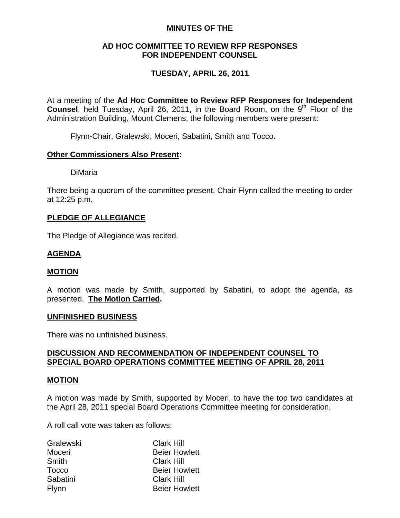### **MINUTES OF THE**

### **AD HOC COMMITTEE TO REVIEW RFP RESPONSES FOR INDEPENDENT COUNSEL**

# **TUESDAY, APRIL 26, 2011**

At a meeting of the **Ad Hoc Committee to Review RFP Responses for Independent Counsel**, held Tuesday, April 26, 2011, in the Board Room, on the 9<sup>th</sup> Floor of the Administration Building, Mount Clemens, the following members were present:

Flynn-Chair, Gralewski, Moceri, Sabatini, Smith and Tocco.

### **Other Commissioners Also Present:**

DiMaria

There being a quorum of the committee present, Chair Flynn called the meeting to order at 12:25 p.m.

## **PLEDGE OF ALLEGIANCE**

The Pledge of Allegiance was recited.

## **AGENDA**

### **MOTION**

A motion was made by Smith, supported by Sabatini, to adopt the agenda, as presented. **The Motion Carried.** 

### **UNFINISHED BUSINESS**

There was no unfinished business.

### **DISCUSSION AND RECOMMENDATION OF INDEPENDENT COUNSEL TO SPECIAL BOARD OPERATIONS COMMITTEE MEETING OF APRIL 28, 2011**

### **MOTION**

A motion was made by Smith, supported by Moceri, to have the top two candidates at the April 28, 2011 special Board Operations Committee meeting for consideration.

A roll call vote was taken as follows:

| Gralewski    | <b>Clark Hill</b>    |
|--------------|----------------------|
| Moceri       | <b>Beier Howlett</b> |
| Smith        | <b>Clark Hill</b>    |
| Tocco        | <b>Beier Howlett</b> |
| Sabatini     | <b>Clark Hill</b>    |
| <b>Flynn</b> | <b>Beier Howlett</b> |